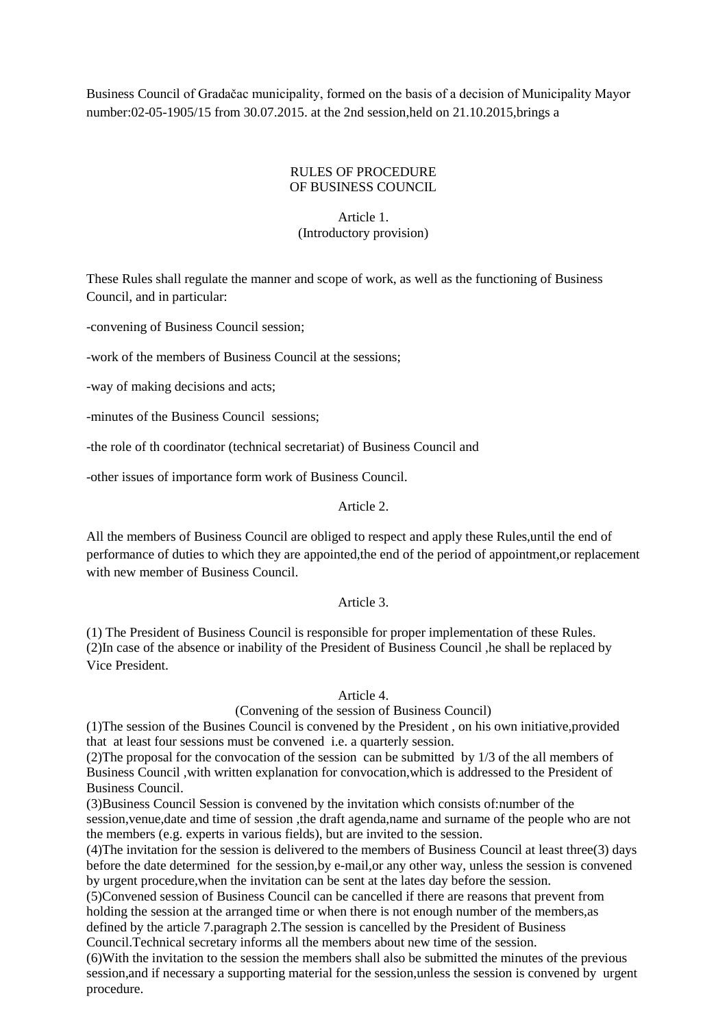Business Council of Gradačac municipality, formed on the basis of a decision of Municipality Mayor number:02-05-1905/15 from 30.07.2015. at the 2nd session,held on 21.10.2015,brings a

## RULES OF PROCEDURE OF BUSINESS COUNCIL

# Article 1. (Introductory provision)

These Rules shall regulate the manner and scope of work, as well as the functioning of Business Council, and in particular:

-convening of Business Council session;

-work of the members of Business Council at the sessions;

-way of making decisions and acts;

-minutes of the Business Council sessions;

-the role of th coordinator (technical secretariat) of Business Council and

-other issues of importance form work of Business Council.

## Article 2.

All the members of Business Council are obliged to respect and apply these Rules,until the end of performance of duties to which they are appointed,the end of the period of appointment,or replacement with new member of Business Council.

#### Article 3.

(1) The President of Business Council is responsible for proper implementation of these Rules. (2)In case of the absence or inability of the President of Business Council ,he shall be replaced by Vice President.

#### Article 4.

(Convening of the session of Business Council)

(1)The session of the Busines Council is convened by the President , on his own initiative,provided that at least four sessions must be convened i.e. a quarterly session.

(2)The proposal for the convocation of the session can be submitted by 1/3 of the all members of Business Council ,with written explanation for convocation,which is addressed to the President of Business Council.

(3)Business Council Session is convened by the invitation which consists of:number of the session,venue,date and time of session ,the draft agenda,name and surname of the people who are not the members (e.g. experts in various fields), but are invited to the session.

(4)The invitation for the session is delivered to the members of Business Council at least three(3) days before the date determined for the session,by e-mail,or any other way, unless the session is convened by urgent procedure,when the invitation can be sent at the lates day before the session.

(5)Convened session of Business Council can be cancelled if there are reasons that prevent from holding the session at the arranged time or when there is not enough number of the members,as defined by the article 7.paragraph 2.The session is cancelled by the President of Business Council.Technical secretary informs all the members about new time of the session.

(6)With the invitation to the session the members shall also be submitted the minutes of the previous session,and if necessary a supporting material for the session,unless the session is convened by urgent procedure.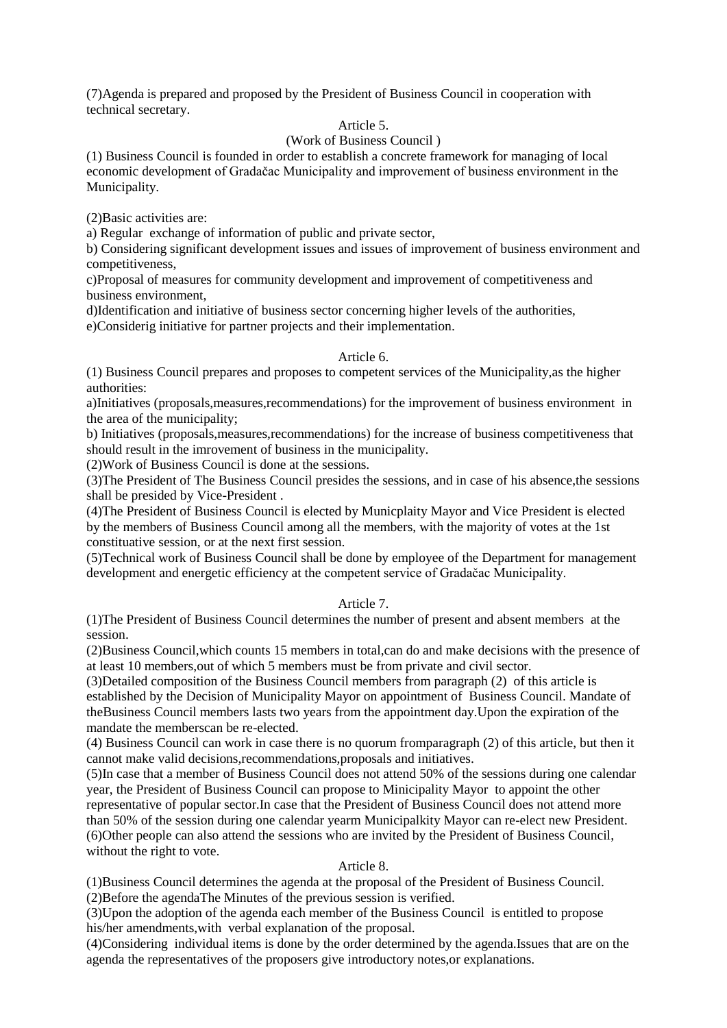(7)Agenda is prepared and proposed by the President of Business Council in cooperation with technical secretary.

## Article 5.

#### (Work of Business Council )

(1) Business Council is founded in order to establish a concrete framework for managing of local economic development of Gradačac Municipality and improvement of business environment in the Municipality.

(2)Basic activities are:

a) Regular exchange of information of public and private sector,

b) Considering significant development issues and issues of improvement of business environment and competitiveness,

c)Proposal of measures for community development and improvement of competitiveness and business environment,

d)Identification and initiative of business sector concerning higher levels of the authorities,

e)Considerig initiative for partner projects and their implementation.

#### Article 6.

(1) Business Council prepares and proposes to competent services of the Municipality,as the higher authorities:

a)Initiatives (proposals,measures,recommendations) for the improvement of business environment in the area of the municipality;

b) Initiatives (proposals,measures,recommendations) for the increase of business competitiveness that should result in the imrovement of business in the municipality.

(2)Work of Business Council is done at the sessions.

(3)The President of The Business Council presides the sessions, and in case of his absence,the sessions shall be presided by Vice-President .

(4)The President of Business Council is elected by Municplaity Mayor and Vice President is elected by the members of Business Council among all the members, with the majority of votes at the 1st constituative session, or at the next first session.

(5)Technical work of Business Council shall be done by employee of the Department for management development and energetic efficiency at the competent service of Gradačac Municipality.

## Article 7.

(1)The President of Business Council determines the number of present and absent members at the session.

(2)Business Council,which counts 15 members in total,can do and make decisions with the presence of at least 10 members,out of which 5 members must be from private and civil sector.

(3)Detailed composition of the Business Council members from paragraph (2) of this article is established by the Decision of Municipality Mayor on appointment of Business Council. Mandate of theBusiness Council members lasts two years from the appointment day.Upon the expiration of the mandate the memberscan be re-elected.

(4) Business Council can work in case there is no quorum fromparagraph (2) of this article, but then it cannot make valid decisions,recommendations,proposals and initiatives.

(5)In case that a member of Business Council does not attend 50% of the sessions during one calendar year, the President of Business Council can propose to Minicipality Mayor to appoint the other representative of popular sector.In case that the President of Business Council does not attend more than 50% of the session during one calendar yearm Municipalkity Mayor can re-elect new President. (6)Other people can also attend the sessions who are invited by the President of Business Council, without the right to vote.

## Article 8.

(1)Business Council determines the agenda at the proposal of the President of Business Council. (2)Before the agendaThe Minutes of the previous session is verified.

(3)Upon the adoption of the agenda each member of the Business Council is entitled to propose his/her amendments,with verbal explanation of the proposal.

(4)Considering individual items is done by the order determined by the agenda.Issues that are on the agenda the representatives of the proposers give introductory notes,or explanations.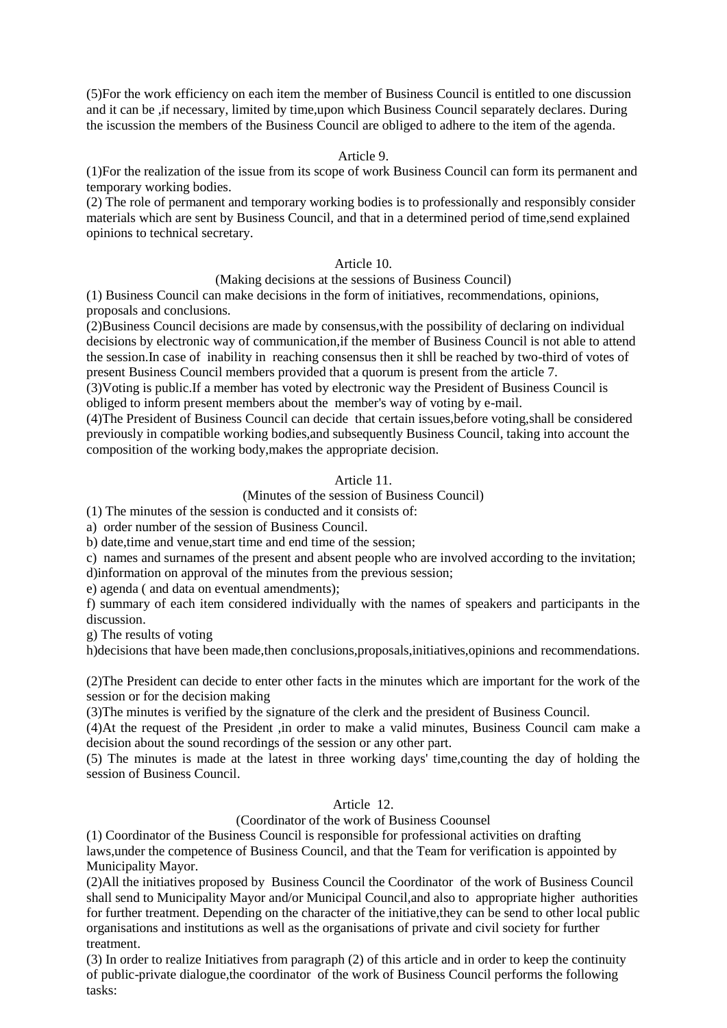(5)For the work efficiency on each item the member of Business Council is entitled to one discussion and it can be ,if necessary, limited by time,upon which Business Council separately declares. During the iscussion the members of the Business Council are obliged to adhere to the item of the agenda.

## Article 9.

(1)For the realization of the issue from its scope of work Business Council can form its permanent and temporary working bodies.

(2) The role of permanent and temporary working bodies is to professionally and responsibly consider materials which are sent by Business Council, and that in a determined period of time,send explained opinions to technical secretary.

#### Article 10.

#### (Making decisions at the sessions of Business Council)

(1) Business Council can make decisions in the form of initiatives, recommendations, opinions, proposals and conclusions.

(2)Business Council decisions are made by consensus,with the possibility of declaring on individual decisions by electronic way of communication,if the member of Business Council is not able to attend the session.In case of inability in reaching consensus then it shll be reached by two-third of votes of present Business Council members provided that a quorum is present from the article 7.

(3)Voting is public.If a member has voted by electronic way the President of Business Council is obliged to inform present members about the member's way of voting by e-mail.

(4)The President of Business Council can decide that certain issues,before voting,shall be considered previously in compatible working bodies,and subsequently Business Council, taking into account the composition of the working body,makes the appropriate decision.

#### Article 11.

#### (Minutes of the session of Business Council)

(1) The minutes of the session is conducted and it consists of:

a) order number of the session of Business Council.

b) date,time and venue,start time and end time of the session;

c) names and surnames of the present and absent people who are involved according to the invitation; d)information on approval of the minutes from the previous session;

e) agenda ( and data on eventual amendments);

f) summary of each item considered individually with the names of speakers and participants in the discussion.

g) The results of voting

h)decisions that have been made,then conclusions,proposals,initiatives,opinions and recommendations.

(2)The President can decide to enter other facts in the minutes which are important for the work of the session or for the decision making

(3)The minutes is verified by the signature of the clerk and the president of Business Council.

(4)At the request of the President ,in order to make a valid minutes, Business Council cam make a decision about the sound recordings of the session or any other part.

(5) The minutes is made at the latest in three working days' time,counting the day of holding the session of Business Council.

## Article 12.

#### (Coordinator of the work of Business Coounsel

(1) Coordinator of the Business Council is responsible for professional activities on drafting laws,under the competence of Business Council, and that the Team for verification is appointed by Municipality Mayor.

(2)All the initiatives proposed by Business Council the Coordinator of the work of Business Council shall send to Municipality Mayor and/or Municipal Council,and also to appropriate higher authorities for further treatment. Depending on the character of the initiative,they can be send to other local public organisations and institutions as well as the organisations of private and civil society for further treatment.

(3) In order to realize Initiatives from paragraph (2) of this article and in order to keep the continuity of public-private dialogue,the coordinator of the work of Business Council performs the following tasks: